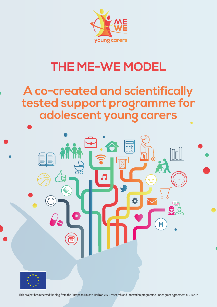

## **THE ME-WE MODEL**

**A co-created and scientifically tested support programme for adolescent young carers**

EEE

**Fo** 

Ĥ



 $\overline{25}$ 

This project has received funding from the European Union's Horizon 2020 research and innovation programme under grant agreement n° 754702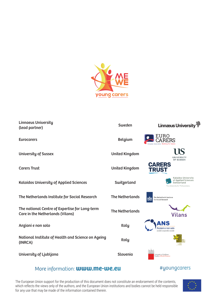

| <b>Linnaeus University</b><br>(lead partner)                                       | Sweden                 | <b>Linnæus Universit</b>                                                                              |
|------------------------------------------------------------------------------------|------------------------|-------------------------------------------------------------------------------------------------------|
| <b>Eurocarers</b>                                                                  | <b>Belgium</b>         | EURO<br>ropean Association Working for Carers                                                         |
| <b>University of Sussex</b>                                                        | <b>United Kingdom</b>  | UNIVERSITY<br>OF SUSSEX                                                                               |
| <b>Carers Trust</b>                                                                | <b>United Kingdom</b>  | <b>CARERS</b><br><b>TRUST</b>                                                                         |
| <b>Kalaidos University of Applied Sciences</b>                                     | Switzerland            | <b>Kalaidos University</b><br>of Applied Sciences<br>Switzerland<br>The University for Professionals. |
| The Netherlands Institute for Social Research                                      | <b>The Netherlands</b> | The Netherlands Institute<br>for Social Research                                                      |
| The national Centre of Expertise for Long-term<br>Care in the Netherlands (Vilans) | <b>The Netherlands</b> | <b>Vilans</b>                                                                                         |
| Anziani e non solo                                                                 | <b>Italy</b>           | Anziani e non solo<br>società cooperativa sociale                                                     |
| National Institute of Health and Science on Ageing<br>(INRCA)                      | <b>Italy</b>           |                                                                                                       |
| University of Ljubljana                                                            | <b>Slovenia</b>        | University of Ljubljana<br><b>Faculty of Social Sciences</b>                                          |
|                                                                                    |                        |                                                                                                       |

### More information: **www.me-we.eu** #youngcarers

The European Union support for the production of this document does not constitute an endorsement of the contents, which reflects the views only of the authors, and the European Union institutions and bodies cannot be held responsible for any use that may be made of the information contained therein.

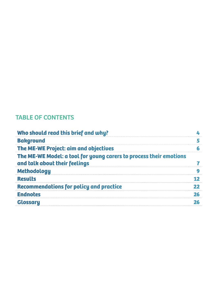## TABLE OF CONTENTS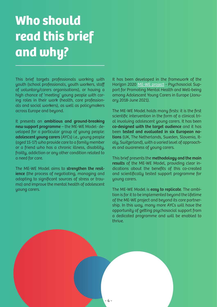# **Who should read this brief and why?**

This brief targets professionals working with youth (school professionals, youth workers, staff of voluntary/carers organisations), or having a high chance of 'meeting' young people with caring roles in their work (health, care professionals and social workers), as well as policymakers across Europe and beyond.

It presents an ambitious and ground-breaking new support programme – the ME-WE Model- developed for a particular group of young people: adolescent young carers (AYCs) i.e., young people (aged 15-17) who provide care to a family member or a friend who has a chronic illness, disability, frailty, addiction or any other condition related to a need for care.

The ME-WE Model aims to strengthen the resilience (the process of negotiating, managing and adapting to significant sources of stress or trauma) and improve the mental health of adolescent young carers.

It has been developed in the framework of the Horizon 2020 [ME-WE project](https://me-we.eu/) - Psychosocial Support for Promoting Mental Health and Well-being among Adolescent Young Carers in Europe (January 2018-June 2021).

The ME-WE Model holds many firsts: it is the first scientific intervention in the form of a clinical trial involving adolescent young carers. It has been co-designed with the target audience and it has been tested and evaluated in six European nations (UK, The Netherlands, Sweden, Slovenia, Italy, Switzerland), with a varied level of approaches and awareness of young carers.

This brief presents the methodology and the main results of the ME-WE Model, providing clear indications about the benefits of this co-created and scientifically tested support programme for young carers.

The ME-WE Model is easy to replicate. The ambition is for it to be implemented beyond the lifetime of the ME-WE project and beyond its core partnership. In this way, many more AYCs will have the opportunity of getting psychosocial support from a dedicated programme and will be enabled to thrive.

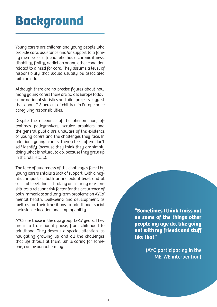## **Background**

Young carers are children and young people who provide care, assistance and/or support to a family member or a friend who has a chronic illness, disability, frailty, addiction or any other condition related to a need for care. They assume a level of responsibility that would usually be associated with an adult.

Although there are no precise figures about how many young carers there are across Europe today, some national statistics and pilot projects suggest that about 7-8 percent of children in Europe have caregiving responsibilities.

Despite the relevance of the phenomenon, oftentimes policymakers, service providers and the general public are unaware of the existence of young carers and the challenges they face. In addition, young carers themselves often don't self-identify (because they think they are simply doing what is natural to do, because they grew up in the role, etc.…).

The lack of awareness of the challenges faced by young carers entails a lack of support, with a negative impact at both an individual level and at societal level. Indeed, taking on a caring role constitutes a relevant risk factor for the occurrence of both immediate and long-term problems on AYCs' mental health, well-being and development, as well as for their transitions to adulthood, social inclusion, education and employability.

AYCs are those in the age group 15-17 years. They are in a transitional phase, from childhood to adulthood. They deserve a special attention, as navigating growing up and all the challenges that life throws at them, while caring for someone, can be overwhelming.

**"Sometimes I think I miss out on some of the things other people my age do, like going out with my friends and stuff like that"** 

> (AYC participating in the ME-WE intervention)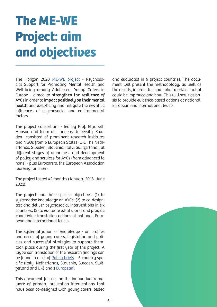# **The ME-WE Project: aim and objectives**

The Horizon 2020 [ME-WE project](https://me-we.eu/) - Psychosocial Support for Promoting Mental Health and Well-being among Adolescent Young Carers in Europe - aimed to strengthen the resilience of AYCs in order to impact positively on their mental health and well-being and mitigate the negative influences of psychosocial and environmental factors.

The project consortium - led by Prof. Elizabeth Hanson and team at Linnaeus University, Sweden- consisted of prominent research institutes and NGOs from 6 European States (UK, The Netherlands, Sweden, Slovenia, Italy, Switzerland), at different stages of awareness and development of policy and services for AYCs (from advanced to none) - plus Eurocarers, the European Association working for carers.

The project lasted 42 months (January 2018- June 2021).

The project had three specific objectives: (1) to systematise knowledge on AYCs; (2) to co-design, test and deliver psychosocial interventions in six countries; (3) to evaluate what works and provide knowledge translation actions at national, European and international levels.

The systematization of knowledge - on profiles and needs of young carers, legislation and policies and successful strategies to support themtook place during the first year of the project. A layperson translation of the research findings can be found in a set of  $Policy briefs - 6 country spe Policy briefs - 6 country spe$ cific (Italy, Netherlands, Slovenia, Sweden, Switzerland and UK) and 1 <u>European</u><sup>1</sup>.

This document focuses on the innovative framework of primary prevention interventions that have been co-designed with young carers, tested and evaluated in 6 project countries. The document will present the methodology, as well as the results, in order to show what worked – what could be improved and how. This will serve as basis to provide evidence-based actions at national, European and international levels.

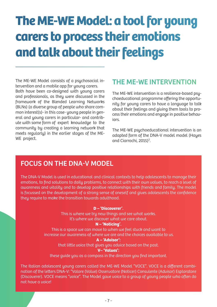## **The ME-WE Model: a tool for young carers to process their emotions and talk about their feelings**

The ME-WE Model consists of a psychosocial intervention and a mobile app for young carers. Both have been co-designed with young carers and professionals, as they were discussed in the framework of the Blended Learning Networks (BLNs) (a diverse group of people who share common interest(s)- in this case- young people in general and young carers in particular- and contribute with some form of expert knowledge to the community by creating a learning network that meets regularly) in the earlier stages of the ME-WE project.

## THE ME-WE INTERVENTION

The ME-WE intervention is a resilience-based psychoeducational programme offering the opportunity for young carers to have a language to talk about their feelings and giving them tools to process their emotions and engage in positive behaviors.

The ME-WE psychoeducational intervention is an adapted form of the DNA-V model model (Hayes and Ciarrochi, 2015)<sup>2</sup>.

## FOCUS ON THE DNA-V MODEL

The DNA-V Model is used in educational and clinical contexts to help adolescents to manage their emotions, to find solutions to daily problems, to connect with their own values, to reach a level of awareness and vitality and to develop positive relationships with friends and family. The model is focussed on the development of a strong sense of oneself and gives adolescents the confidence they require to make the transition towards adulthood.

#### **D – 'Discoverer'.**

This is where we try new things and see what works. It's where we discover what we care about.

#### **N – 'Noticing'.**

This is a space we can move to when we feel stuck and want to increase our awareness of where we are and the choices available to us.

#### **A – 'Advisor':**

that little voice that gives you advice based on the past.

#### **V– 'Values':**

these guide you as a compass in the direction you find important.

The Italian adolescent young carers called the ME-WE Model "VOCE". VOCE is a different combination of the letters DNA-V: "Valore (Value) Osservatore (Noticer) Consulente (Advisor) Esploratore (Discoverer). VOCE means "voice". The Model gave voice to a group of young people who often do not have a voice!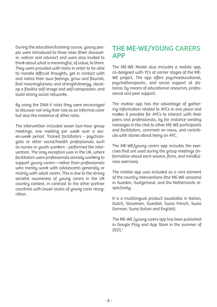During the education/training course, young people were introduced to three roles (their discoverer, noticer and advisor) and were also invited to think about what is meaningful, of value, to them. They were provided with tools in order to be able to: handle difficult thoughts, get in contact with and notice their own feelings, grow and flourish, find meaningfulness and strength/energy, develop a flexible self-image and self-compassion, and build strong social networks.

By using the DNA-V roles they were encouraged to discover not only their role as an informal carer but also the existence of other roles.

The intervention included seven two-hour group meetings, one meeting per week over a seven-week period. Trained facilitators - psychologists or other social/health professionals such as nurses or youth workers - performed the intervention. The only exception was in the UK, where facilitators were professionals already working to support young carers—rather than professionals who merely work with adolescents generally or mainly with adult carers. This is due to the strong societal awareness of young carers in the UK country context, in contrast to the other partner countries with lower levels of young carer recognition.

### THE ME-WE/YOUNG CARERS APP

The ME-WE Model also includes a mobile app, co-designed with YCs at earlier stages of the ME-WE project. The app offers psychoeducational, psychotherapeutic, and social support at distance, by means of educational resources, professional and peer support.

The mobile app has the advantage of gathering information related to AYCs in one place and makes it possible for AYCs to interact with their peers and professionals, by for instance sending messages in the chat to other ME-WE participants and facilitators, comment on news, and contribute with stories about being an AYC.

The ME-WE/young carers app includes the exercises that are used during the group meetings (information about each session, films, and mindfulness exercises).

The mobile app was included as a core element of the country interventions (the ME-WE sessions) in Sweden, Switzerland, and the Netherlands respectively.

It is a multilingual product (available in Italian, Dutch, Slovenian, Swedish, Swiss French, Swiss German, Swiss Italian and English).

The ME-WE /young carers app has been published in Google Play and App Store in the summer of 2021.3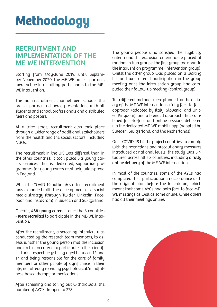## RECRUITMENT AND IMPLEMENTATION OF THE ME-WE INTERVENTION

Starting from May-June 2019, until September-November 2020, the ME-WE project partners were active in recruiting participants to the ME-WE intervention.

The main recruitment channel were schools: the project partners delivered presentations with all students and school professionals and distributed fliers and posters.

At a later stage, recruitment also took place through a wider range of additional stakeholders from the health and the social sectors, including NGOs.

The recruitment in the UK was different than in the other countries: it took place via young carers' services, that is, dedicated, supportive programmes for young carers relatively widespread in England.

When the COVID-19 outbreak started, recruitment was expanded with the development of a social media strategy (through Twitter, LinkedIn, Facebook and Instagram) in Sweden and Switzerland.

Overall, 488 young carers – over the 6 countries - were recruited to participate in the ME-WE intervention.

After the recruitment, a screening interview was conducted by the research team members, to assess whether the young person met the inclusion and exclusion criteria to participate in the scientific study, respectively: being aged between 15 and 17 and being responsible for the care of family members or other people of significance in their life; not already receiving psychological/mindfulness-based therapy or medications.

After screening and taking out withdrawals, the number of AYCS dropped to 278.

The young people who satisfied the eligibility criteria and the exclusion criteria were placed at random in two groups: the first group took part in the intervention programme (intervention group), whilst the other group was placed on a waiting list and was offered participation in the group meeting once the intervention group had completed their follow-up meeting (control group).

Two different methods were planned for the delivery of the ME-WE intervention: a fully face-to-face approach (adopted by Italy, Slovenia, and United Kingdom), and a blended approach that combined face-to-face and online sessions delivered via the dedicated ME-WE mobile app (adopted by Sweden, Switzerland, and the Netherlands).

Once COVID-19 hit the project countries, to comply with the restrictions and precautionary measures introduced at national levels, the study was virtualized across all six countries, including a fully online delivery of the ME-WE intervention.

In most of the countries, some of the AYCs had completed their participation in accordance with the original plan before the lock-down, which meant that some AYCs had both face-to face ME-WE meetings as well as some online, while others had all their meetings online.

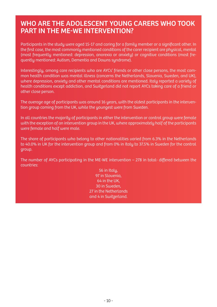## WHO ARE THE ADOLESCENT YOUNG CARERS WHO TOOK PART IN THE ME-WE INTERVENTION?

Participants in the study were aged 15-17 and caring for a family member or a significant other. In the first case, the most commonly mentioned conditions of the carer recipient are physical, mental (most frequently mentioned: depression, anorexia or anxiety) or cognitive conditions (most frequently mentioned: Autism, Dementia and Downs syndrome).

Interestingly, among care recipients who are AYCs' friends or other close persons, the most common health condition was mental illness (concerns the Netherlands, Slovenia, Sweden, and UK), where depression, anxiety and other mental conditions are mentioned. Italy reported a variety of health conditions except addiction, and Switzerland did not report AYCs taking care of a friend or other close person.

The average age of participants was around 16 years, with the oldest participants in the intervention group coming from the UK, while the youngest were from Sweden.

In all countries the majority of participants in either the intervention or control group were female with the exception of an intervention group in the UK, where approximately half of the participants were female and half were male.

The share of participants who belong to other nationalities varied from 6.3% in the Netherlands to 40.0% in UK for the intervention group and from 0% in Italy to 37.5% in Sweden for the control group.

The number of AYCs participating in the ME-WE intervention – 278 in total- differed between the countries:

> 56 in Italy, 97 in Slovenia, 64 in the UK, 30 in Sweden, 27 in the Netherlands and 4 in Switzerland.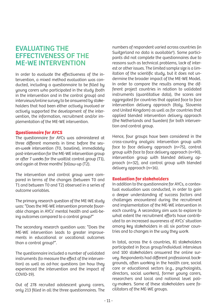## EVALUATING THE EFFECTIVENESS OF THE ME-WE INTERVENTION

In order to evaluate the effectiveness of the intervention, a mixed method evaluation was conducted, including a questionnaire to be filled by young carers who participated in the study (both in the intervention and in the control group) and interviews/online survey to be answered by stakeholders that had been either actively involved or actively supported the development of the intervention, the information, recruitment and/or implementation of the ME-WE intervention.

#### **Questionnaire for AYCS**

The questionnaire for AYCs was administered at three different moments in time: before the seven-week intervention (T0, baseline), immediately post-intervention for the ME-WE intervention group or after 7 weeks for the waitlist control group (T1), and again at three months' follow-up (T2).

The intervention and control group were compared in terms of the changes (between T0 and T1 and between T0 and T2) observed in a series of outcome variables.

The primary research question of the ME-WE study was: "Does the ME-WE intervention promote favorable changes in AYCs' mental health and well-being outcomes compared to a control group?"

The secondary research question was: "Does the ME-WE intervention leads to greater improvements in educational or vocational outcomes than a control group?".

The questionnaire included a number of validated instruments (to measure the effect of the intervention) as well as ad-hoc questions (on how they experienced the intervention and the impact of COVID-19).

Out of 278 recruited adolescent young carers, only 213 filled in all the three questionnaires. The numbers of respondent varied across countries (in Switzerland no data is available<sup>4</sup>). Some participants did not complete the questionnaires due to reasons such as technical problems, lack of interest or other issues. The limited sample size is a limitation of the scientific study, but it does not undermine the broader impact of the ME-WE Model. In order to compare the results among the different project countries in relation to validated instruments (quantitative data), the scores are aggregated for countries that applied face to face intervention delivery approach (Italy, Slovenia and United Kingdom) as well as for countries that applied blended intervention delivery approach (the Netherlands and Sweden) for both intervention and control group.

Hence, four groups have been considered in the cross-country analysis: intervention group with face to face delivery approach (n=75), control group with face to face delivery approach (n=90), intervention group with blended delivery approach (n=32), and control group with blended delivery approach (n=16).

#### **Evaluation for stakeholders**

In addition to the questionnaire for AYCs, a contextual evaluation was conducted, in order to gain a deeper understanding of success factors and challenges encountered during the recruitment and implementation of the ME-WE intervention in each country. A secondary aim was to explore to what extent the recruitment efforts have contributed to an increased awareness of AYCs' situation among key stakeholders in all six partner countries and to changes in the way they work.

In total, across the 6 countries, 81 stakeholders participated in focus group/individual interviews and 100 stakeholders answered the online survey. Respondents had different professional backgrounds, often working in the health care, social care or educational sectors (e.g., psychologists, directors, social workers), former young carers, researchers and local and national level policy-makers. Some of these stakeholders were facilitators of the ME-WE groups.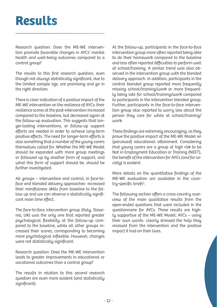## **Results**

Research question: Does the ME-WE intervention promote favorable changes in AYCs' mental health and well-being outcomes compared to a control group?

The results to this first research question, even though not always statistically significant, due to the limited sample size, are promising and go in the right direction.

There is clear indication of a positive impact of the ME-WE intervention on the resilience of AYCs: their resilience scores at the post-intervention increased compared to the baseline, but decreased again at the follow-up evaluation. This suggests that longer-lasting interventions, or follow-up support efforts are needed in order to achieve long-term positive effects. The need for longer-term efforts is also something that a number of the young carers themselves called for. Whether the ME-WE Model should be expanded with more group meetings or followed up by another form of support, and what this form of support should be, should be further investigated.

All groups – intervention and control, in face-toface and blended delivery approaches- increased their mindfulness skills from baseline to the follow up and we can observe a statistically significant main time effect.

The face-to-face intervention group (Italy, Slovenia, UK) was the only one that reported greater psychological flexibility at the follow-up compared to the baseline, while all other groups increased their scores, corresponding to becoming more psychological inflexible. However, changes were not statistically significant.

Research question: Does the ME-WE intervention leads to greater improvements in educational or vocational outcomes than a control group?

The results in relation to this second research question are even more evident (and statistically significant).

At the follow-up, participants in the face-to-face intervention group more often reported being able to do their homework compared to the baseline and less often reported difficulties to perform well at school/training. A similar trend was also observed in the intervention group with the blended delivery approach. In addition, participants in the control blended group reported more frequently missing school/training/work or more frequently being late for school/training/work compared to participants in the intervention blended group. Further, participants in the face-to-face intervention group also reported to worry less about the person they care for while at school/training/ work.

These findings are extremely encouraging, as they prove the positive impact of the ME-WE Model on (perceived) educational attainment. Considering that young carers are a group at high risk to be Not in Employment Education or Training (NEET), the benefit of the intervention for AYCs (and for society) is evident.

More details on the quantitative findings of the ME-WE evaluation are available in the country-specific briefs<sup>5</sup>.

The following section offers a cross-country overview of the main qualitative results from the open-ended questions that were included in the questionnaire for AYCs. These results are highly supportive of the ME-WE Model: AYCs – using their own words- clearly stressed the help they received from the intervention and the positive impact it had on their lives.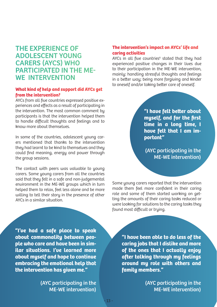## THE EXPERIENCE OF ADOLESCENT YOUNG CARERS (AYCS) WHO PARTICIPATED IN THE ME-WE INTERVENTION

#### **What kind of help and support did AYCs get from the intervention?**

AYCs from all five countries expressed positive experiences and effects as a result of participating in the intervention. The most common comment by participants is that the intervention helped them to handle difficult thoughts and feelings and to know more about themselves.

In some of the countries, adolescent young carers mentioned that thanks to the intervention they had learnt to be kind to themselves and they could find meaning, energy and power through the group sessions.

The contact with peers was valuable to young carers. Some young carers from all the countries said that they felt in a safe and non-judgemental environment in the ME-WE groups which in turn helped them to relax, feel less alone and be more willing to tell their story in the presence of other AYCs in a similar situation.

#### **The intervention's impact on AYCs' life and caring activities**

AYCs in all five countries<sup>6</sup> stated that they had experienced positive changes in their lives due to their participation in the ME-WE intervention, mainly: handling stressful thoughts and feelings in a better way; being more forgiving and kinder to oneself and/or taking better care of oneself.

> **"I have felt better about myself, and for the first time in a long time, I have felt that I am important"**

(AYC participating in the ME-WE intervention)

Some young carers reported that the intervention made them feel more confident in their caring role and some of them started working on getting the amounts of their caring tasks reduced or were looking for solutions to the caring tasks they found most difficult or trying.

**"I've had a safe place to speak about commonality between people who care and have been in similar situations. I've learned more about myself and hope to continue embracing the emotional help that the intervention has given me."** 

> (AYC participating in the ME-WE intervention)

**"I have been able to do less of the caring jobs that I dislike and more of the ones that I actually enjoy after talking through my feelings around my role with others and family members."** 

> (AYC participating in the ME-WE intervention)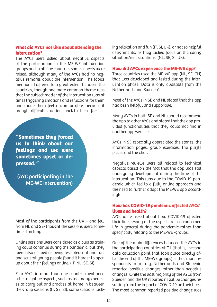#### **What did AYCs not like about attending the intervention?**

The AYCs were asked about negative aspects of the participation in the ME-WE intervention groups and in all five countries some aspects were raised, although many of the AYCs had no negative remarks about the intervention. The topics mentioned differed to a great extent between the countries, though one more common theme was that the subject matter of the intervention was at times triggering emotions and reflections for them and made them feel uncomfortable, because it brought difficult situations back to the surface.

**"Sometimes they forced us to think about our feelings and we were sometimes upset or depressed. "** 

(AYC participating in the ME-WE intervention)

Most of the participants from the UK – and few from NL and SE- thought the sessions were sometimes too long.

Online sessions were considered as a plus as training could continue during the pandemic, but they were also viewed as being less pleasant and fun, and several young people found it harder to open up about their feelings online. (IT, NL, SE, SI)

Few AYCs in more than one country mentioned other negative aspects, such as too many exercises to carry out and practise at home in between the group sessions (IT, SE, SI), some sessions lacking relaxation and fun (IT, SI, UK), or not so helpful assignments, as they lacked focus on the caring situation/real situations. (NL, SE, SI, UK).

#### **How did AYCs experience the ME-WE app?**

Three countries used the ME-WE app (NL, SE, CH) that was developed and tested during the intervention phase. Data is only available from the Netherlands and Sweden<sup>7</sup>.

Most of the AYCs in SE and NL stated that the app had been helpful and supportive.

Many AYCs in both SE and NL would recommend the app to other AYCs and stated that the app provided functionalities that they could not find in another app/services.

AYCs in SE especially appreciated the stories, the information pages, group exercises, the puzzle pieces and the chat.

Negative reviews were all related to technical aspects based on the fact that the app was still undergoing development during the time of the intervention. This was due to the COVID-19 pandemic which led to a fully online approach and the need to further adapt the ME-WE app accordingly.

#### **How has COVID-19 pandemic affected AYCs' lives and health?**

AYCs were asked about how COVID-19 affected their lives. Many of the aspects raised concerned life in general during the pandemic rather than specifically relating to the ME-WE -groups.

One of the main differences between the AYCs in the participating countries at T1 (that is, second data collection point that took place directly after the end of the ME-WE groups) is that more respondents from Italy, Netherlands and Slovenia reported positive changes rather than negative changes, while the vast majority of the AYCs from Sweden and the UK reported negative changes resulting from the impact of COVID-19 on their lives. The most common reported positive change was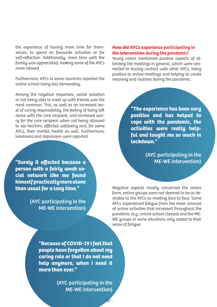the experience of having more time for themselves, to spend on favourite activities or for self-reflection. Additionally, more time with the family was appreciated, making some of the AYCs more relaxed.

Furthermore, AYCs in some countries reported the online school being less demanding.

Among the negative responses, social isolation or not being able to meet up with friends was the most common. This, as well as an increased level of caring responsibility, the feeling of being left alone with the care recipient, and increased worry for the care recipient when not being allowed to see her/him, affected wellbeing and, for some AYCs, their mental health as well. Furthermore, loneliness and depression were reported.

**"Surely it affected because a person with a fairly weak social network like me found himself practically more alone than usual for a long time."** 

> (AYC participating in the ME-WE intervention)

#### **"Because of COVID-19 I feel that people have forgotten about my caring role or that I do not need help anymore, when I need it more than ever."**

(AYC participating in the ME-WE intervention)

#### **How did AYCs experience participating in the intervention during the pandemic?**

Young carers mentioned positive aspects of attending the meetings in general, which were connected to having contact with other AYCs, being positive to online meetings and helping to create meaning and routines during the pandemic.

> **"The experience has been very positive and has helped to cope with the pandemic, the activities were really helpful and taught me so much in lockdown."**

> > (AYC participating in the ME-WE intervention)

Negative aspects mostly concerned the online form, online groups were not deemed to be as desirable to the AYCs as meeting face to face. Some AYCs experienced fatigue from the sheer amount of online activities that increased throughout the pandemic (e.g., online school classes) and the ME-WE groups in some situations only added to their sense of fatigue.

15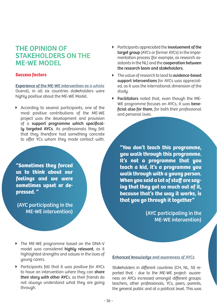## THE OPINION OF STAKEHOLDERS ON THE ME-WE MODEL

#### **Success factors**

Experience of the ME-WE intervention as a whole Overall, in all six countries stakeholders were highly positive about the ME-WE Model.

▶ According to several participants, one of the most positive contributions of the ME-WE project was the development and provision of a support programme which specifically targeted AYCs. As professionals they felt that they therefore had something concrete to offer YCs whom they made contact with.

**"Sometimes they forced us to think about our feelings and we were sometimes upset or depressed. "** 

(AYC participating in the ME-WE intervention)

- **Participants appreciated the involvement of the** target group (AYCs or former AYCs) in the implementation process (for example, as research assistants in the NL) and the cooperation between the research team and stakeholders.
- ▶ The value of research to lead to evidence-based support interventions for AYCs was appreciated, as it was the international dimension of the study.
- **Eacilitators** noted that, even though the ME-WE programme focuses on AYCs, it was **bene**ficial also for them, for both their professional and personal lives.

**"You don't teach this programme, you walk through this programme. It's not a programme that you teach a kid, it's a programme you walk through with a young person. When you said a lot of staff are saying that they got so much out of it, because that's the way it works, is that you go through it together"** 

> (AYC participating in the ME-WE intervention)

- ▶ The ME-WE programme based on the DNA-V model was considered highly relevant, as it highlighted strengths and values in the lives of young carers.
- ▶ Participants felt that it was positive for AYCs to have an intervention where they can share their story with other AYCs, as their friends do not always understand what they are going through.

#### Enhanced knowledge and awareness of AYCs

Stakeholders in different countries (CH, NL, SI) reported that - due to the ME-WE project- awareness on AYCs increased amongst different groups: teachers, other professionals, YCs, peers, parents, the general public and at a political level. This was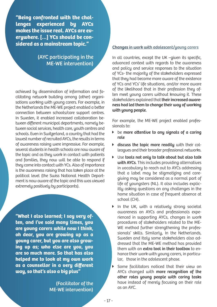**"Being confronted with the challenges experienced by AYCs makes the issue real. AYCs are everywhere. […] YCs should be considered as a mainstream topic."** 

> (AYC participating in the ME-WE intervention)

achieved by dissemination of information and facilitating network building among (other) organisations working with young carers. For example, in the Netherlands the ME-WE project enabled a better connection between schools/care support centres. In Sweden, it enabled increased collaboration between different municipal departments, namely between social services, health care, youth centres and schools. Even in Switzerland, a country that had the lowest number of recruited AYCs, the results in terms of awareness raising were impressive. For example, several students in health schools are now aware of the topic and as they work in contact with patients and families, they now will be able to respond if they come into contact with YCs. Also of importance is the awareness raising that has taken place at the political level (the Swiss National Health Department is now aware of the topic and this was viewed extremely positively by participants).

**"What I also learned; I say very often, and I've said many times, you are young carers while now I think, oh dear, you are growing up as a young carer, but you are also growing up as; who else are you, you are so much more. So that has also helped me to look at my own work as a counsellor in a very different way, so that's also a big plus"** 

> (Facilitator of the ME-WE intervention)

#### Changes in work with adolescent/young carers

In all countries, except the UK –given its specific, advanced context with regards to the awareness and policy and service responses to the situation of YCs- the majority of the stakeholders expressed that they had become more aware of the existence of YCs and YCs' life situations, and/or more aware of the likelihood that in their profession they often meet young carers without knowing it. These stakeholders explained that their increased awareness had led them to change their way of working with young people.

For example, the ME-WE project enabled professionals to:

- $\triangleright$  be more attentive to any signals of a caring role
- $\triangleright$  discuss the topic more readily with their colleagues and their broader professional networks.
- ▶ Use tools not only to talk about but also talk with AYCs. This includes providing alternatives in vocabulary to reach out to AYCs addressing that a label may be stigmatizing and caregiving may be considered as a normal part of life of youngsters (NL). It also includes explicitly asking questions on any challenges in the home situation in case of frequent absence at school (CH).
- In the UK, with a relatively strong societal awareness on AYCs and professionals experienced in supporting AYCs, changes in work procedures of stakeholders related to the ME-WE method further strengthening the professionals' skills. Similarly, In the Netherlands, Sweden and Italy some stakeholders also addressed that the ME-WE method has provided them with an **extra tool in their toolbox** to enhance their work with young carers, in particular, those in the adolescent phase.
- Some facilitators noticed that their view on AYCs changed with more recognition of the other roles young people with caring tasks have instead of merely focusing on their role as an AYC.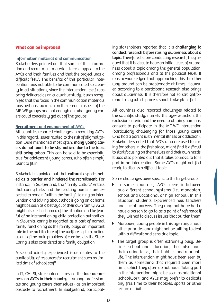#### **What can be improved**

#### Information material and communication

Stakeholders pointed out that some of the information and recruitment materials lacked appeal to the AYCs and their families and that the project was a difficult "sell". The benefits of this particular intervention was not able to be communicated so clearly in all situations, since the intervention itself was being delivered as an evaluative study. It was recognized that the focus in the communication materials was perhaps too much on the research aspect of the ME-WE groups and not enough on what young carers could concretely get out of the groups.

#### Recruitment and engagement of AYCs

All countries reported challenges in recruiting AYCs. In this regard, issues related to the risk of stigmatization were mentioned most often: many young carers do not want to be stigmatized due to the topic still being taboo. This can be said to be especially true for adolescent young carers, who often simply want to fit in.

Stakeholders pointed out that cultural aspects acted as a barrier and hindered the recruitment. For instance, in Switzerland, the "family culture" entails that caring tasks and the resulting burdens are expected to remain "within the family". Joining an intervention and talking about what is going on at home might be seen as a betrayal of their own family. AYCs might also feel ashamed of the situation and be fearful of an intervention by child protection authorities. In Slovenia, caring is regarded as a part of normal family functioning as the family plays an important role in the architecture of the welfare system, acting as one of the main providers of care besides the State. Caring is also considered as a family obligation.

A second widely experienced issue relates to the availability of resources for recruitment such as limited time of school staff.

In IT, CH, SI, stakeholders stressed the **low aware**ness on AYCs in their country – among professionals and young carers themselves - as an important obstacle to recruitment. In Switzerland, participating stakeholders reported that it is challenging to conduct research before raising awareness about a topic. Therefore, before conducting research, they argued that it is ideal to have an initial level of awareness about a topic among the general population, among professionals and at the political level. It was acknowledged that approaching this the other way around can be problematic at times. However, according to a participant, research also brings about awareness. It is therefore not so straightforward to say which process should take place first.

All countries also reported challenges related to the scientific study, namely the age-restriction, the exclusion criteria and the need to obtain guardians' consent to participate in the ME-WE intervention (particularly challenging for those young carers who had a parent with mental illness or addiction). Stakeholders noted that AYCs who are used to caring for others in the first place, might find it difficult to start focusing on themselves and their own needs. It was also pointed out that it takes courage to take part in an intervention. Some AYCs might not feel ready to discuss a difficult topic.

Some challenges were specific to the target group:

- ▶ In some countries, AYCs were in-between two different school systems (i.e., mandatory school and vocational or high school). In this situation, students experienced new teachers and social workers. They may not have had a have a person to go to as a point of reference if they wished to discuss issues that burden them.
- ▶ Moreover, young people in this age range have other priorities and might not be willing to deal with a difficult and sensitive topic.
- ▶ The target group is often extremely busy. Besides school and education, they also have their caring tasks, their hobbies and a private life. The intervention might have been seen by them as something that required even more time, which they often do not have. Taking part in the intervention might be seen as additional 'schoolwork' and AYCs may prefer to dedicate any free time to their hobbies, sports or other leisure activities.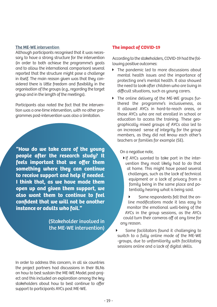#### The ME-WE intervention

Although participants recognised that it was necessary to have a strong structure for the intervention (in order to both achieve the programme's goals and to allow the international comparison) several reported that the structure might pose a challenge in itself. The main reason given was that they considered there is little freedom and flexibility in the organisation of the groups (e.g., regarding the target group and in the length of the meetings).

Participants also noted the fact that the intervention was a one-time intervention, with no other programmes post-intervention was also a limitation.

**"How do we take care of the young people after the research study? It feels important that we offer them something where they can continue to receive support and help if needed. I think that, as we have made them open up and given them support, we also want them to continue to feel confident that we will not be another instance or adults who fail."** 

> (Stakeholder involved in the ME-WE intervention)

In order to address this concern, in all six countries the project partners had discussions in their BLNs on how to best sustain the ME-WE Model post-project and this included an exploration among the key stakeholders about how to best continue to offer support to participants AYCs post ME-WE.

#### **The impact of COVID-19**

According to the stakeholders, COVID-19 had the following positive outcomes:

- The pandemic led to more discussions about mental health issues and the importance of protecting one's mental health. It also showed the need to look after children who are living in difficult situations, such as young carers.
- ▶ The online delivery of the ME-WE groups furthered the programme's inclusiveness, as it allowed AYCs in hard-to-reach areas, or those AYCs who are not enrolled in school or education to access the training. These geographically mixed groups of AYCs also led to an increased sense of integrity for the group members, as they did not know each other's teachers or families for example (SE).

On a negative note,

- If AYCs wanted to take part in the intervention they most likely had to do that at home. This might have posed several challenges, such as the lack of technical equipment or a lack of privacy from a family being in the same place and potentially hearing what is being said.
- Some respondents felt that the online modifications made it less easy to monitor the emotional well-being of the AYCs in the group sessions, as the AYCs could turn their cameras off at any time for any reason.
- Some facilitators found it challenging to switch to a fully online mode of the ME-WE -groups, due to unfamiliarity with facilitating sessions online and a lack of digital skills.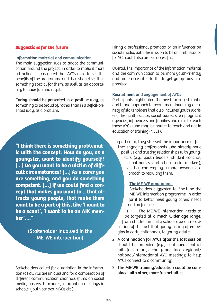#### **Suggestions for the future**

#### Information material and communication

The main suggestion was to adapt the communication around the project, in order to make it more attractive. It was noted that AYCs need to see the benefits of the programme and they should see it as something special for them, as well as an opportunity to have fun and respite.

Caring should be presented in a positive way, as something to be proud of, rather than in a deficit-oriented way, as a problem.

**"I think there is something problematic with the concept. How do you, as a youngster, want to identify yourself? […] Do you want to be a victim of difficult circumstances? […] As a carer you are something, and you do something competent. […] If we could find a concept that makes you want to… that attracts young people, that make them want to be a part of this, like 'I want to be a scout', 'I want to be an AIK member'…."** 

> (Stakeholder involved in the ME-WE intervention)

Stakeholders called for a variation in the information (as all YCs are unique) and for a combination of different communication channels (films on social media, posters, brochures, information meetings in schools, youth centres, NGOs etc.)

Hiring a professional promoter or an influencer on social media, with the mission to be an ambassador for YCs could also prove successful.

Overall, the importance of the information material and the communication to be more youth-friendly and more accessible to the target group was emphasised.

#### Recruitment and engagement of AYCs

Participants highlighted the need for a systematic and broad approach to recruitment involving a variety of stakeholders that also includes youth workers, the health sector, social workers, employment agencies, influencers and families and aims to reach those AYCs who may be harder to reach and not in education or training (NEET).

In particular, they stressed the importance of further engaging professionals who already have positive and trusting relationships with youngsters (e.g., youth leaders, student coaches, school nurses, and school social workers), as they can employ a more personal approach to recruiting them.

#### The ME-WE programme

Stakeholders suggested to fine-tune the ME-WE intervention programme, in order for it to better meet young carers' needs and preferences.

The ME-WE intervention needs to be targeted at a much wider age range, from children in early school age (in recognition of the fact that young caring often begins in early childhood), to young adults.

- 2. A continuation for AYCs after the last session should be provided (e.g., continued contact with facilitators; a chat group; local/regional/ national/international AYC meetings; to help AYCs connect to a community).
- 3. The ME-WE training/education could be combined with other, more fun activities.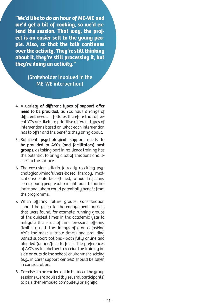**"We'd like to do an hour of ME-WE and we'd get a bit of cooking, so we'd extend the session. That way, the project is an easier sell to the young people. Also, so that the talk continues over the activity. They're still thinking about it, they're still processing it, but they're doing an activity."** 

#### (Stakeholder involved in the ME-WE intervention)

- 4. A variety of different types of support offer need to be provided, as YCs have a range of different needs. It follows therefore that different YCs are likely to prioritise different types of interventions based on what each intervention has to offer and the benefits they bring about.
- 5. Sufficient psychological support needs to be provided to AYCs (and facilitators) post groups, as taking part in resilience training has the potential to bring a lot of emotions and issues to the surface.
- 6. The exclusion criteria (already receiving psychological/mindfulness-based therapy, medications) could be softened, to avoid rejecting some young people who might want to participate and whom could potentially benefit from the programme.
- 7. When offering future groups, consideration should be given to the engagement barriers that were found, for example: running groups at the quietest times in the academic year to mitigate the issue of time pressure; offering flexibility with the timings of groups (asking AYCs the most suitable times) and providing varied support options - both fully online and blended (online/face to face). The preferences of AYCs as to whether to receive the training inside or outside the school environment setting (e.g., in carer support centres) should be taken in consideration.
- 8. Exercises to be carried out in between the group sessions were advised (by several participants) to be either removed completely or signific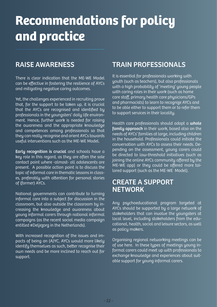## **Recommendations for policy and practice**

## RAISE AWARENESS

There is clear indication that the ME-WE Model can be effective in fostering the resilience of AYCs and mitigating negative caring outcomes.

Yet, the challenges experienced in recruiting prove that, for the support to be taken up, it is crucial that the AYCs are recognised and identified by professionals in the youngsters' daily life environment. Hence, further work is needed for raising the awareness and the appropriate knowledge and competences among professionals so that they can really recognise and orient AYCs towards useful interventions such as the ME-WE Model.

Early recognition is crucial and schools have a key role in this regard, as they are often the sole contact point where -almost- all adolescents are present. A possible action point is to discuss the topic of informal care in thematic lessons in classes, preferably with attention for personal stories of (former) AYCs.

National governments can contribute to turning informal care into a subject for discussion in the classroom, but also outside the classroom by increasing the knowledge and awareness about young informal carers through national informal campaigns (as the recent social media campaign entitled #Deljezorg in the Netherlands).

With increased recognition of the issues and impacts of being an (A)YC, AYCs would more likely identify themselves as such, better recognise their own needs and be more inclined to reach out for support.

## TRAIN PROFESSIONALS

It is essential for professionals working with youth (such as teachers), but also professionals with a high probability of 'meeting' young people with caring roles in their work (such as home care staff, primary health care physicians/GPs and pharmacists) to learn to recognize AYCs and to be able either to support them or to refer them to support services in their locality.

Health care professionals should adopt a whole family approach in their work, based also on the needs of AYCs' families at large, including children in the household. Professionals could initiate the conversation with AYCs to assess their needs. Depending on the assessment, young carers could be directed to low-threshold initiatives (such as joining the online AYCs community offered by the ME-WE app) or they could be offered more tailored support (such as the ME-WE Model).

## CREATE A SUPPORT **NETWORK**

Any psychoeducational program targeted at AYCs should be supported by a large network of stakeholders that can involve the youngsters at local level, including stakeholders from the educational, health, social and leisure sectors, as well as policy makers.

Organising regional networking meetings can be of use here. In these types of meetings young informal carers could meet up with professionals to exchange knowledge and experiences about suitable support for young informal carers.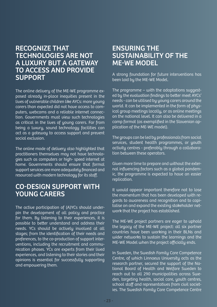## RECOGNIZE THAT TECHNOLOGIES ARE NOT A LUXURY BUT A GATEWAY TO ACCESS AND PROVIDE SUPPORT

The online delivery of the ME-WE programme exposed already in-place inequities present in the lives of vulnerable children like AYCs: more young carers than expected did not have access to computers, webcams and a reliable internet connection. Governments must view such technologies as critical in the lives of young carers. Far from being a luxury, sound technology facilities can act as a gateway to access support and prevent social exclusion.

The online mode of delivery also highlighted that practitioners themselves may not have technologies such as computers or high- speed internet at home. Governments should ensure that formal support services are more adequately financed and resourced with modern technology for its staff.

## CO-DESIGN SUPPORT WITH YOUNG CARERS

The active participation of (A)YCs should underpin the development of all policy and practice for them. By listening to their experiences, it is possible to better understand and address their needs. YCs should be actively involved at all stages; from the identification of their needs and preferences, to the co-production of support interventions, including the recruitment and communication phases. YCs are experts from their lived experiences, and listening to their stories and their opinions is essential for successfully supporting and empowering them.

## ENSURING THE SUSTAINABILITY OF THE ME-WE MODEL

A strong foundation for future interventions has been laid by the ME-WE Model.

The programme – with the adaptations suggested by the evaluation findings to better meet AYCs' needs - can be utilised by young carers around the world. It can be implemented in the form of physical group meetings locally, or as online meetings on the national level. It can also be delivered in a camp format (as exemplified in the Slovenian application of the ME-WE model).

The groups can be led by professionals from social services, student health programmes, or youth activity centres - preferably through a collaboration between these operators.

Given more time to prepare and without the external influencing factors such as a global pandemic, the programme is expected to have an easier replication.

It would appear important therefore not to lose the momentum that has been developed with regards to awareness and recognition and to capitalise on and expand the existing stakeholder network that the project has established.

The ME-WE project partners are eager to uphold the legacy of the ME-WE project: all six partner countries have been working in their BLNs and wider networks to sustain the learnings and the ME-WE Model when the project officially ends.

In Sweden, the Swedish Family Care Competence Centre, of which Linnaeus University acts as the research partner, secured the support of the National Board of Health and Welfare Sweden to reach out to all 290 municipalities across Sweden, targeting health, social care, youth centres, school staff and representatives from civil societies. The Swedish Family Care Competence Centre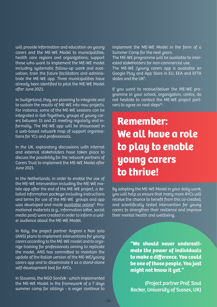will provide information and education on young carers and the ME-WE Model to municipalities, health care regions and organizations; support those who want to implement the ME-WE model including systematic follow-up work and evaluation; train the future facilitators and administrate the ME-WE app. Three municipalities have already been identified to pilot the ME-WE Model after June 2021.

In Switzerland, they are planning to integrate and to sustain the results of ME-WE into new projects. For instance, some of the ME-WE sessions can be integrated in Get-Togethers, groups of young carers between 15 and 25 meeting regularly and informally. The ME-WE app will be showcased in a web-based network map of support organisations for YCs and professionals.

In the UK, exploratory discussions with internal and external stakeholders have taken place to discuss the possibility for the network partners of Carers Trust to implement the ME-WE Model after June 2021.

In the Netherlands, in order to enable the use of the ME-WE intervention including the ME-WE mobile app after the end of the ME-WE project, a detailed information package including instructions and terms for use of the ME-WE groups and app was developed and made available online<sup>8</sup>. Promotional materials (e.g., information letter, social media post) were created in order to inform a wider audience about the ME-WE Model.

In Italy, the project partner Anziani e Non solo (ANS) plans to implement interventions for young carers according to the ME-WE model and to organize training for professionals aiming to replicate the model. ANS has committed to maintain the update of the Italian version of the ME-WE/young carers app and to disseminate it as a stand-alone self-development tool for AYCs.

In Slovenia, the NGO Sonček - which implemented the ME-WE Model in the framework of a 7 days summer camp for siblings - is eager continue to implement the ME-WE Model in the form of a Summer Camp for the next years.

The ME-WE programme will be available to interested stakeholders for non-commercial use.

The ME-WE /young carers app is available on Google Play and App Store in EU, EEA and EFTA states and the UK<sup>9</sup>.

If you want to receive/deliver the ME-WE programme in your school, organization, centre, do not hesitate to contact the ME-WE project partners to agree on next steps<sup>10</sup>.

## **Remember: We all have a role to play to enable young carers to thrive!**

By adopting the ME-WE Model in your daily work, you will help us ensure that many more AYCs will receive the chance to benefit from this co-created, and scientifically tested intervention for young carers to strengthen their resilience and improve their mental health and wellbeing.

> **"We should never underestimate the power of individuals to make a difference. You could be one of those people. You just might not know it yet."**

(Project partner Prof. Saul Becker, University of Sussex, UK)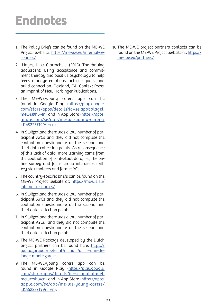## **Endnotes**

- 1. The Policy Briefs can be found on the ME-WE Project website: [https://me-we.eu/internal-re](https://me-we.eu/internal-resources/)[sources/](https://me-we.eu/internal-resources/)
- 2. Hayes, L., & Ciarrochi, J. (2015). The thriving adolescent: Using acceptance and commitment therapy and positive psychology to help teens manage emotions, achieve goals, and build connection. Oakland, CA: Context Press, an imprint of New Harbinger Publications.
- 3. The ME-WE/young carers app can be found in Google Play [\(https://play.google.](https://play.google.com/store/apps/details?id=se.appbolaget.mewe&hl=en) [com/store/apps/details?id=se.appbolaget.](https://play.google.com/store/apps/details?id=se.appbolaget.mewe&hl=en) [mewe&hl=en\)](https://play.google.com/store/apps/details?id=se.appbolaget.mewe&hl=en) and in App Store ([https://apps.](https://apps.apple.com/se/app/me-we-young-carers/id1452257199?l=en) [apple.com/se/app/me-we-young-carers/](https://apps.apple.com/se/app/me-we-young-carers/id1452257199?l=en) [id1452257199?l=en\)](https://apps.apple.com/se/app/me-we-young-carers/id1452257199?l=en).
- 4. In Switzerland there was a low number of participant AYCs and they did not complete the evaluation questionnaire at the second and third data collection points. As a consequence of this lack of data, more learning came from the evaluation of contextual data, i.e., the online survey and focus group interviews with key stakeholders and former YCs.
- 5. The country-specific briefs can be found on the ME-WE Project website at: [https://me-we.eu/](https://me-we.eu/internal-resources/) [internal-resources/](https://me-we.eu/internal-resources/)
- 6. In Switzerland there was a low number of participant AYCs and they did not complete the evaluation questionnaire at the second and third data collection points.
- 7. In Switzerland there was a low number of participant AYCs and they did not complete the evaluation questionnaire at the second and third data collection points.
- 8. The ME-WE Package developed by the Dutch project partners can be found here: [https://](https://www.zorgvoorbeter.nl/nieuws/week-van-de-jonge-mantelzorger) [www.zorgvoorbeter.nl/nieuws/week-van-de](https://www.zorgvoorbeter.nl/nieuws/week-van-de-jonge-mantelzorger)[jonge-mantelzorger](https://www.zorgvoorbeter.nl/nieuws/week-van-de-jonge-mantelzorger)
- 9. The ME-WE/young carers app can be found in Google Play [\(https://play.google.](https://play.google.com/store/apps/details?id=se.appbolaget.mewe&hl=en) [com/store/apps/details?id=se.appbolaget.](https://play.google.com/store/apps/details?id=se.appbolaget.mewe&hl=en) [mewe&hl=en\)](https://play.google.com/store/apps/details?id=se.appbolaget.mewe&hl=en) and in App Store ([https://apps.](https://apps.apple.com/se/app/me-we-young-carers/id1452257199?l=en) [apple.com/se/app/me-we-young-carers/](https://apps.apple.com/se/app/me-we-young-carers/id1452257199?l=en) [id1452257199?l=en\)](https://apps.apple.com/se/app/me-we-young-carers/id1452257199?l=en).

10.The ME-WE project partners contacts can be found on the ME-WE Project website at: [https://](https://me-we.eu/partners/) [me-we.eu/partners/](https://me-we.eu/partners/)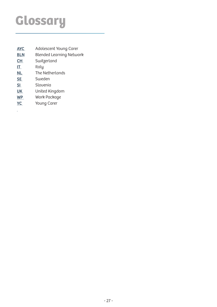# **Glossary**

- AYC Adolescent Young Carer
- **BLN** Blended Learning Network
- CH Switzerland
- IT Italy
- NL The Netherlands
- SE Sweden
- SI Slovenia
- UK United Kingdom
- WP Work Package
- Young Carer

 $\overline{a}$